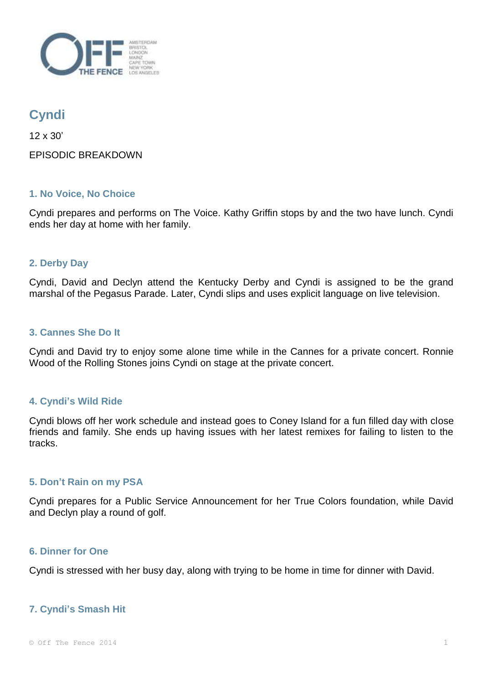

# **Cyndi**

12 x 30' EPISODIC BREAKDOWN

## **1. No Voice, No Choice**

Cyndi prepares and performs on The Voice. Kathy Griffin stops by and the two have lunch. Cyndi ends her day at home with her family.

# **2. Derby Day**

Cyndi, David and Declyn attend the Kentucky Derby and Cyndi is assigned to be the grand marshal of the Pegasus Parade. Later, Cyndi slips and uses explicit language on live television.

## **3. Cannes She Do It**

Cyndi and David try to enjoy some alone time while in the Cannes for a private concert. Ronnie Wood of the Rolling Stones joins Cyndi on stage at the private concert.

## **4. Cyndi's Wild Ride**

Cyndi blows off her work schedule and instead goes to Coney Island for a fun filled day with close friends and family. She ends up having issues with her latest remixes for failing to listen to the tracks.

### **5. Don't Rain on my PSA**

Cyndi prepares for a Public Service Announcement for her True Colors foundation, while David and Declyn play a round of golf.

### **6. Dinner for One**

Cyndi is stressed with her busy day, along with trying to be home in time for dinner with David.

## **7. Cyndi's Smash Hit**